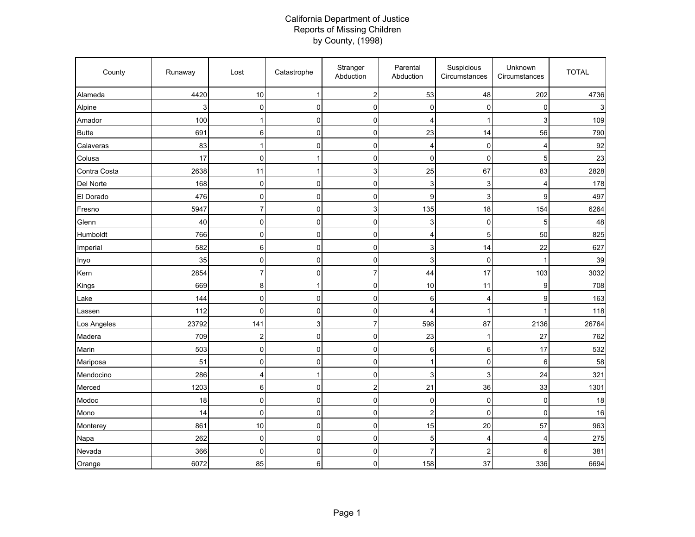## California Department of Justice Reports of Missing Children by County, (1998)

| County       | Runaway | Lost           | Catastrophe  | Stranger<br>Abduction     | Parental<br>Abduction | Suspicious<br>Circumstances | Unknown<br>Circumstances | <b>TOTAL</b> |
|--------------|---------|----------------|--------------|---------------------------|-----------------------|-----------------------------|--------------------------|--------------|
| Alameda      | 4420    | 10             | $\mathbf{1}$ | $\boldsymbol{2}$          | 53                    | 48                          | 202                      | 4736         |
| Alpine       | 3       | $\mathbf 0$    | $\mathbf 0$  | $\pmb{0}$                 | 0                     | 0                           | $\mathbf 0$              |              |
| Amador       | 100     | 1              | $\pmb{0}$    | $\pmb{0}$                 | 4                     | 1                           | 3                        | 109          |
| <b>Butte</b> | 691     | 6              | $\pmb{0}$    | $\pmb{0}$                 | 23                    | 14                          | 56                       | 790          |
| Calaveras    | 83      | $\overline{1}$ | $\mathbf 0$  | $\mathbf 0$               | 4                     | 0                           | 4                        | 92           |
| Colusa       | 17      | $\mathbf 0$    | $\mathbf{1}$ | 0                         | $\mathbf 0$           | $\mathbf{0}$                | 5                        | 23           |
| Contra Costa | 2638    | 11             | $\mathbf{1}$ | $\ensuremath{\mathsf{3}}$ | 25                    | 67                          | 83                       | 2828         |
| Del Norte    | 168     | $\mathbf 0$    | $\pmb{0}$    | $\pmb{0}$                 | 3                     | 3                           | 4                        | 178          |
| El Dorado    | 476     | $\mathbf 0$    | $\mathbf 0$  | 0                         | 9                     | 3                           | 9                        | 497          |
| Fresno       | 5947    | $\overline{7}$ | $\mathbf 0$  | $\mathsf 3$               | 135                   | 18                          | 154                      | 6264         |
| Glenn        | 40      | $\mathbf 0$    | $\pmb{0}$    | $\pmb{0}$                 | 3                     | $\mathbf 0$                 | 5                        | 48           |
| Humboldt     | 766     | 0              | $\mathbf 0$  | $\pmb{0}$                 | 4                     | 5                           | 50                       | 825          |
| Imperial     | 582     | 6              | $\pmb{0}$    | $\pmb{0}$                 | 3                     | 14                          | 22                       | 627          |
| Inyo         | 35      | $\mathbf 0$    | $\mathbf 0$  | 0                         | 3                     | $\mathbf 0$                 | 1                        | 39           |
| Kern         | 2854    | $\overline{7}$ | $\pmb{0}$    | $\overline{7}$            | 44                    | 17                          | 103                      | 3032         |
| Kings        | 669     | 8              | $\mathbf{1}$ | $\mathsf{O}\xspace$       | 10                    | 11                          | 9                        | 708          |
| Lake         | 144     | $\mathbf 0$    | $\mathbf 0$  | 0                         | 6                     | $\overline{4}$              | 9                        | 163          |
| Lassen       | 112     | $\mathbf 0$    | $\mathbf 0$  | 0                         | 4                     | 1                           | 1                        | 118          |
| Los Angeles  | 23792   | 141            | $\mathsf 3$  | $\overline{7}$            | 598                   | 87                          | 2136                     | 26764        |
| Madera       | 709     | $\overline{2}$ | $\mathbf 0$  | $\pmb{0}$                 | 23                    | 1                           | 27                       | 762          |
| Marin        | 503     | $\mathbf 0$    | $\pmb{0}$    | $\pmb{0}$                 | 6                     | 6                           | 17                       | 532          |
| Mariposa     | 51      | $\pmb{0}$      | $\pmb{0}$    | 0                         | $\mathbf 1$           | 0                           | 6                        | 58           |
| Mendocino    | 286     | 4              | $\mathbf{1}$ | $\pmb{0}$                 | 3                     | 3                           | 24                       | 321          |
| Merced       | 1203    | $\,6\,$        | $\pmb{0}$    | $\overline{c}$            | 21                    | 36                          | 33                       | 1301         |
| Modoc        | 18      | $\mathbf 0$    | $\mathbf 0$  | 0                         | 0                     | $\mathbf 0$                 | 0                        | 18           |
| Mono         | 14      | $\mathbf 0$    | $\mathbf 0$  | $\mathbf 0$               | $\overline{2}$        | $\mathbf 0$                 | 0                        | 16           |
| Monterey     | 861     | 10             | $\pmb{0}$    | $\pmb{0}$                 | 15                    | 20                          | 57                       | 963          |
| Napa         | 262     | $\mathbf 0$    | $\pmb{0}$    | $\pmb{0}$                 | 5                     | 4                           | 4                        | 275          |
| Nevada       | 366     | $\Omega$       | $\mathbf 0$  | $\mathbf 0$               | $\overline{7}$        | 2                           | 6                        | 381          |
| Orange       | 6072    | 85             | 6            | $\pmb{0}$                 | 158                   | 37                          | 336                      | 6694         |